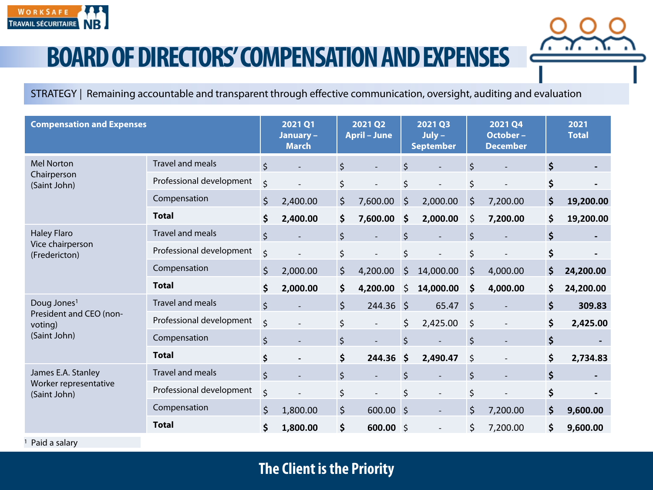

## **BOARD OF DIRECTORS' COMPENSATION AND EXPENSES**

STRATEGY | Remaining accountable and transparent through effective communication, oversight, auditing and evaluation

| <b>Compensation and Expenses</b>                                              |                          | 2021 Q1<br>January -<br><b>March</b> |          | 2021 Q2<br><b>April - June</b> |           | <b>2021 Q3</b><br>$July -$<br><b>September</b> |           | <b>2021 Q4</b><br>October-<br><b>December</b> |          | 2021<br><b>Total</b> |
|-------------------------------------------------------------------------------|--------------------------|--------------------------------------|----------|--------------------------------|-----------|------------------------------------------------|-----------|-----------------------------------------------|----------|----------------------|
| <b>Mel Norton</b><br>Chairperson<br>(Saint John)                              | <b>Travel and meals</b>  | $\zeta$                              |          | \$                             |           | $\zeta$                                        |           | Ś.                                            |          | \$                   |
|                                                                               | Professional development | \$                                   |          | \$                             |           | \$                                             |           | \$                                            |          |                      |
|                                                                               | Compensation             | \$                                   | 2,400.00 | \$                             | 7,600.00  | $\zeta$                                        | 2,000.00  | \$                                            | 7,200.00 | \$<br>19,200.00      |
|                                                                               | <b>Total</b>             | \$                                   | 2,400.00 | \$                             | 7,600.00  | $\ddot{\bm{\zeta}}$                            | 2,000.00  | \$                                            | 7,200.00 | \$<br>19,200.00      |
| <b>Haley Flaro</b><br>Vice chairperson<br>(Fredericton)                       | Travel and meals         | $\zeta$                              |          | \$                             |           | $\zeta$                                        |           | Ś.                                            |          |                      |
|                                                                               | Professional development | \$                                   |          | \$                             |           | \$                                             |           | \$                                            |          | \$                   |
|                                                                               | Compensation             | $\zeta$                              | 2,000.00 | \$                             | 4,200.00  | \$                                             | 14,000.00 | \$                                            | 4,000.00 | \$<br>24,200.00      |
|                                                                               | <b>Total</b>             | \$                                   | 2,000.00 | \$                             | 4,200.00  | \$                                             | 14,000.00 | \$                                            | 4,000.00 | \$<br>24,200.00      |
| Doug Jones <sup>1</sup><br>President and CEO (non-<br>voting)<br>(Saint John) | <b>Travel and meals</b>  | \$                                   |          | \$                             | 244.36 \$ |                                                | 65.47     | $\zeta$                                       |          | \$<br>309.83         |
|                                                                               | Professional development | \$                                   |          | \$                             |           | \$                                             | 2,425.00  | $\zeta$                                       |          | \$<br>2,425.00       |
|                                                                               | Compensation             | $\zeta$                              |          | $\zeta$                        |           | $\zeta$                                        |           | $\zeta$                                       |          | \$                   |
|                                                                               | <b>Total</b>             | \$                                   |          | \$                             | 244.36    | $\zeta$                                        | 2,490.47  | \$                                            |          | \$<br>2,734.83       |
| James E.A. Stanley<br>Worker representative<br>(Saint John)                   | <b>Travel and meals</b>  | $\zeta$                              |          | \$                             |           | $\zeta$                                        |           | \$                                            |          | \$                   |
|                                                                               | Professional development | \$                                   |          | \$                             |           | \$                                             |           | \$                                            |          | \$                   |
|                                                                               | Compensation             | $\zeta$                              | 1,800.00 | \$                             | 600.00 \$ |                                                |           | $\zeta$                                       | 7,200.00 | \$<br>9,600.00       |
|                                                                               | <b>Total</b>             | \$                                   | 1,800.00 | \$                             | 600.00 \$ |                                                |           | \$                                            | 7,200.00 | \$<br>9,600.00       |

<sup>1</sup> Paid a salary

## **The Client is the Priority**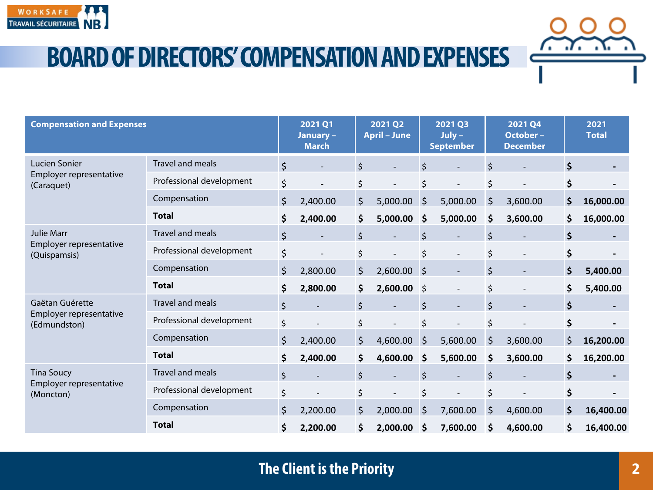

**BOARD OF DIRECTORS' COMPENSATION AND EXPENSES**

| <b>Compensation and Expenses</b>                             |                          |         | 2021 Q1<br>January -<br><b>March</b> | 2021 Q2<br><b>April - June</b> |          | 2021 Q3<br>$July -$<br><b>September</b> |                          | 2021 Q4<br>October-<br><b>December</b> |          |         | 2021<br><b>Total</b> |
|--------------------------------------------------------------|--------------------------|---------|--------------------------------------|--------------------------------|----------|-----------------------------------------|--------------------------|----------------------------------------|----------|---------|----------------------|
| Lucien Sonier<br>Employer representative<br>(Caraquet)       | <b>Travel and meals</b>  | \$      |                                      | $\zeta$                        |          | Ś.                                      |                          | \$                                     |          | \$      |                      |
|                                                              | Professional development | \$      |                                      | \$                             |          | \$                                      |                          | \$                                     |          |         |                      |
|                                                              | Compensation             | $\zeta$ | 2,400.00                             | \$                             | 5,000.00 | \$                                      | 5,000.00                 | \$                                     | 3,600.00 | \$      | 16,000.00            |
|                                                              | <b>Total</b>             | \$      | 2,400.00                             | \$                             | 5,000.00 | \$                                      | 5,000.00                 | \$                                     | 3,600.00 | \$      | 16,000.00            |
| <b>Julie Marr</b><br>Employer representative<br>(Quispamsis) | <b>Travel and meals</b>  | \$      |                                      | $\zeta$                        |          | \$                                      |                          | \$                                     |          | \$      |                      |
|                                                              | Professional development | \$      |                                      | \$                             |          | \$                                      | $\overline{\phantom{0}}$ | \$                                     |          | \$      |                      |
|                                                              | Compensation             | \$      | 2,800.00                             | \$                             | 2,600.00 | $\zeta$                                 | $\overline{a}$           | \$                                     |          | \$      | 5,400.00             |
|                                                              | <b>Total</b>             | \$      | 2,800.00                             | \$                             | 2,600.00 | $\zeta$                                 | $\overline{\phantom{a}}$ | \$                                     |          | \$      | 5,400.00             |
| Gaëtan Guérette<br>Employer representative<br>(Edmundston)   | <b>Travel and meals</b>  | \$      |                                      | \$                             |          | \$                                      | $\overline{a}$           | \$                                     |          | \$      |                      |
|                                                              | Professional development | \$      |                                      | \$                             |          | \$                                      |                          | \$                                     |          | \$      |                      |
|                                                              | Compensation             | \$      | 2,400.00                             | \$                             | 4,600.00 | $\zeta$                                 | 5,600.00                 | \$                                     | 3,600.00 | $\zeta$ | 16,200.00            |
|                                                              | <b>Total</b>             | \$      | 2,400.00                             | \$                             | 4,600.00 | \$                                      | 5,600.00                 | \$                                     | 3,600.00 | \$      | 16,200.00            |
| <b>Tina Soucy</b><br>Employer representative<br>(Moncton)    | <b>Travel and meals</b>  | \$      |                                      | $\zeta$                        |          | \$                                      |                          | \$                                     |          |         |                      |
|                                                              | Professional development | \$      |                                      | \$                             |          | \$                                      |                          | \$                                     |          | \$      |                      |
|                                                              | Compensation             | \$      | 2,200.00                             | \$                             | 2,000.00 | \$                                      | 7,600.00                 | $\zeta$                                | 4,600.00 | \$      | 16,400.00            |
|                                                              | <b>Total</b>             | \$      | 2,200.00                             | \$                             | 2,000.00 | \$                                      | 7,600.00                 | \$                                     | 4,600.00 | \$      | 16,400.00            |

## **The Client is the Priority**

7. . 7. . X.